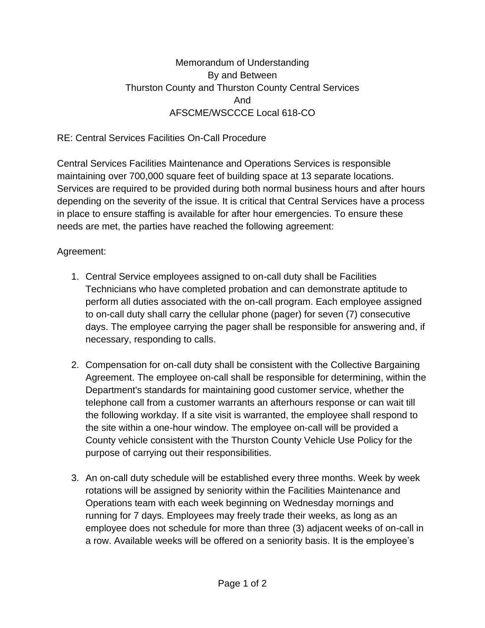## Memorandum of Understanding By and Between Thurston County and Thurston County Central Services And AFSCME/WSCCCE Local 618-CO

## RE: Central Services Facilities On-Call Procedure

Central Services Facilities Maintenance and Operations Services is responsible maintaining over 700,000 square feet of building space at 13 separate locations. Services are required to be provided during both normal business hours and after hours depending on the severity of the issue. It is critical that Central Services have a process in place to ensure staffing is available for after hour emergencies. To ensure these needs are met, the parties have reached the following agreement:

## Agreement:

- 1. Central Service employees assigned to on-call duty shall be Facilities Technicians who have completed probation and can demonstrate aptitude to perform all duties associated with the on-call program. Each employee assigned to on-call duty shall carry the cellular phone (pager) for seven (7) consecutive days. The employee carrying the pager shall be responsible for answering and, if necessary, responding to calls.
- 2. Compensation for on-call duty shall be consistent with the Collective Bargaining Agreement. The employee on-call shall be responsible for determining, within the Department's standards for maintaining good customer service, whether the telephone call from a customer warrants an afterhours response or can wait till the following workday. If a site visit is warranted, the employee shall respond to the site within a one-hour window. The employee on-call will be provided a County vehicle consistent with the Thurston County Vehicle Use Policy for the purpose of carrying out their responsibilities.
- 3. An on-call duty schedule will be established every three months. Week by week rotations will be assigned by seniority within the Facilities Maintenance and Operations team with each week beginning on Wednesday mornings and running for 7 days. Employees may freely trade their weeks, as long as an employee does not schedule for more than three (3) adjacent weeks of on-call in a row. Available weeks will be offered on a seniority basis. It is the employee's